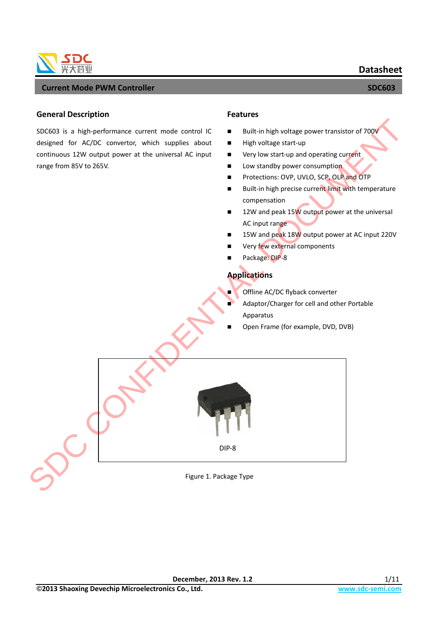

### **General Description**

SDC603 is a high-performance current mode control IC designed for AC/DC convertor, which supplies about continuous 12W output power at the universal AC input range from 85V to 265V.

#### **Features**

- Built-in high voltage power transistor of  $700V$
- $\blacksquare$  High voltage start-up
- Very low start-up and operating current
- **Low standby power consumption**
- **Protections: OVP, UVLO, SCP, OLP and OTP**
- Built-in high precise current limit with temperature compensation
- 12W and peak 15W output power at the universal AC input range
- 15W and peak 18W output power at AC input 220V
- Very few external components
- Package: DIP-8

## **Applications**

- Offline AC/DC flyback converter
- Adaptor/Charger for cell and other Portable Apparatus
- Open Frame (for example, DVD, DVB)



Figure 1. Package Type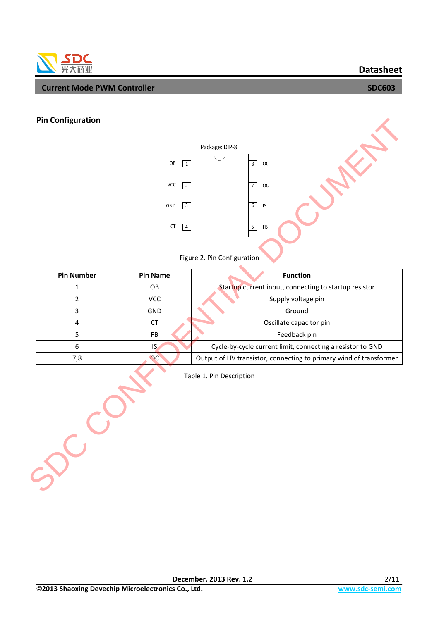## **Datasheet**

## SDC 光大芯业

#### I **Current Mode PWM Controller SECONDIA CONSUMING SUPPORT OF A SUPPORT OF A SUPPORT OF A SUPPORT OF A SUPPORT OF A**

## **Pin Configuration**



| <b>Pin Configuration</b> |                   |                                                                    |
|--------------------------|-------------------|--------------------------------------------------------------------|
|                          |                   | Package: DIP-8                                                     |
|                          | OB<br>1           | $\overline{8}$<br>OC                                               |
|                          |                   |                                                                    |
|                          | VCC<br>$\sqrt{2}$ | $\overline{7}$<br>$_{\sf OC}$                                      |
|                          | $\sqrt{3}$<br>GND | 6<br>IS                                                            |
|                          | ${\sf CT}$        | 5 <sup>1</sup><br>FB                                               |
|                          | $\sqrt{4}$        |                                                                    |
|                          |                   |                                                                    |
|                          |                   | Figure 2. Pin Configuration                                        |
| <b>Pin Number</b>        | <b>Pin Name</b>   | <b>Function</b>                                                    |
| $\mathbf 1$              | OB                | Startup current input, connecting to startup resistor              |
| $\overline{2}$           | <b>VCC</b>        | Supply voltage pin                                                 |
| $\overline{3}$           | GND               | Ground                                                             |
| $\overline{\mathbf{4}}$  | CT                | Oscillate capacitor pin                                            |
| 5                        | FB                | Feedback pin                                                       |
| $\boldsymbol{6}$         | IS                | Cycle-by-cycle current limit, connecting a resistor to GND         |
| 7,8                      | OC                | Output of HV transistor, connecting to primary wind of transformer |
|                          |                   | Table 1. Pin Description                                           |
|                          |                   |                                                                    |
|                          |                   |                                                                    |
|                          |                   |                                                                    |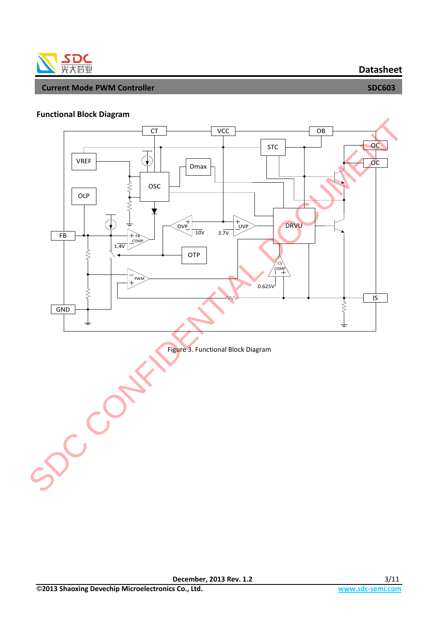

## **Functional Block Diagram**

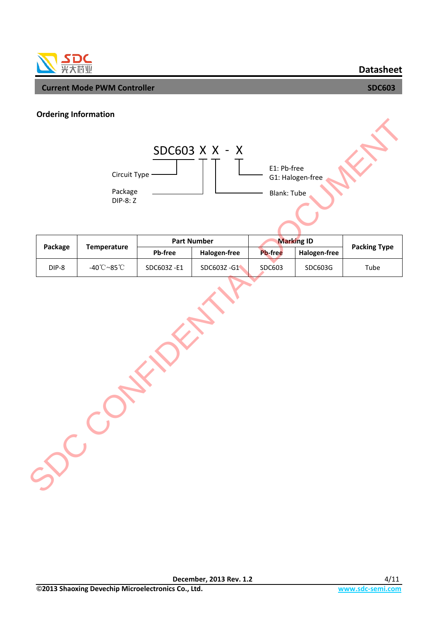

**Datasheet**

### **Ordering Information**



|         |                                   | <b>Part Number</b>             |            | <b>Marking ID</b> |              |                     |
|---------|-----------------------------------|--------------------------------|------------|-------------------|--------------|---------------------|
| Package | <b>Temperature</b>                | <b>Pb-free</b><br>Halogen-free |            | <b>Pb-free</b>    | Halogen-free | <b>Packing Type</b> |
| DIP-8   | -40 $\mathbb{C}$ ~85 $\mathbb{C}$ | SDC603Z-E1                     | SDC603Z-G1 | SDC603            | SDC603G      | Tube                |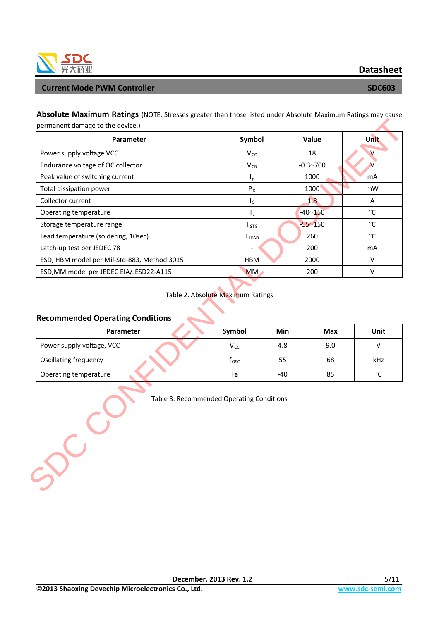

**Datasheet**

**Absolute Maximum Ratings** (NOTE: Stresses greater than those listed under Absolute Maximum Ratings may cause permanent damage to the device.)

| Parameter                                                                          | Symbol                                         |       | Value        | <b>Unit</b>       |
|------------------------------------------------------------------------------------|------------------------------------------------|-------|--------------|-------------------|
| Power supply voltage VCC                                                           | $\mathsf{V}_{\mathsf{CC}}$                     |       | 18           | $\vee$            |
| Endurance voltage of OC collector                                                  | $\rm V_{CB}$                                   |       | $-0.3 - 700$ | $\mathbf{V}$      |
| Peak value of switching current                                                    | $I_p$                                          |       | 1000         | mA                |
| Total dissipation power                                                            | $P_D$                                          |       | 1000         | mW                |
| Collector current                                                                  | $I_{\rm C}$                                    |       | 1.8          | A                 |
| Operating temperature                                                              | $T_{\rm J}$                                    |       | $-40 - 150$  | $^{\circ}$ C      |
| Storage temperature range                                                          | ${\sf T}_{\mathsf{STG}}$                       |       | $-55 - 150$  | $^{\circ}$ C      |
| Lead temperature (soldering, 10sec)                                                | <b>TLEAD</b>                                   |       | 260          | $^{\circ}$ C      |
| Latch-up test per JEDEC 78                                                         |                                                |       | 200          | mA                |
| ESD, HBM model per Mil-Std-883, Method 3015                                        | HBM                                            |       | 2000         | V                 |
|                                                                                    |                                                |       | 200          | $\sf V$           |
| ESD, MM model per JEDEC EIA/JESD22-A115<br><b>Recommended Operating Conditions</b> | <b>MM</b><br>Table 2. Absolute Maximum Ratings |       |              |                   |
| Parameter                                                                          | Symbol                                         | Min   | <b>Max</b>   | Unit              |
| Power supply voltage, VCC                                                          | $V_{\text{CC}}$                                | 4.8   | 9.0          | V                 |
| Oscillating frequency                                                              | $f_{\text{osc}}$                               | 55    | 68           | kHz               |
| Operating temperature                                                              | Ta                                             | $-40$ | 85           | $^{\circ}{\rm C}$ |

## Table 2. Absolute Maximum Ratings

#### **Recommended Operating Conditions**

| <b>Parameter</b>             | Symbol | Min | Max | Unit |
|------------------------------|--------|-----|-----|------|
| Power supply voltage, VCC    | Vcc    | 4.8 | 9.0 |      |
| <b>Oscillating frequency</b> | l osc  | 55  | 68  | kHz  |
| Operating temperature        | Ta     | -40 | 85  | °C   |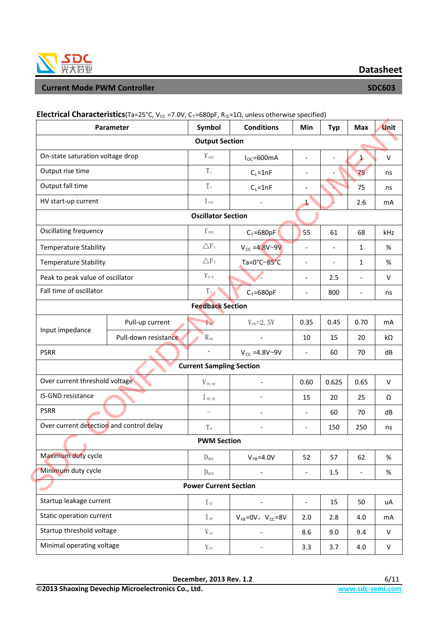

**HATTING TO A RESIDENT IS A RESIDENT A RESIDENT OF A RESIDENT IS A RESIDENT OF A RESIDENT OF A RESIDENT OF A RES** 

|                                          | Parameter                      | Symbol                          | <b>Conditions</b>             | Min                          | <b>Typ</b>               | <b>Max</b>               | <b>Unit</b> |
|------------------------------------------|--------------------------------|---------------------------------|-------------------------------|------------------------------|--------------------------|--------------------------|-------------|
|                                          |                                | <b>Output Section</b>           |                               |                              |                          |                          |             |
| On-state saturation voltage drop         |                                | $V_{\rm\scriptscriptstyle SAT}$ | $I_{OC} = 600mA$              | $\overline{a}$               | $\overline{a}$           | 1                        | $\vee$      |
| Output rise time                         |                                | $T_{\rm r}$                     | $C_L = 1nF$                   | $\overline{\phantom{a}}$     |                          | 75                       | ns          |
| Output fall time                         |                                | $T_{\rm f}$                     | $C_L = 1nF$                   | $\overline{a}$               |                          | 75                       | ns          |
| HV start-up current                      |                                | $I_{src}$                       |                               | $\mathbf{1}$                 |                          | 2.6                      | mA          |
|                                          |                                | <b>Oscillator Section</b>       |                               |                              |                          |                          |             |
| Oscillating frequency                    |                                | $f_{\rm\,osc}$                  | $C_T = 680pF$                 | 55                           | 61                       | 68                       | kHz         |
| <b>Temperature Stability</b>             |                                | $\triangle F_v$                 | $V_{cc} = 4.8V - 9V$          | $\overline{\phantom{a}}$     | $\overline{\phantom{a}}$ | 1                        | %           |
| <b>Temperature Stability</b>             |                                | $\triangle F_T$                 | Ta=0°C~85°C                   | $\overline{\phantom{a}}$     | $\overline{\phantom{a}}$ | $\mathbf{1}$             | %           |
| Peak to peak value of oscillator         |                                | $V_{\,P-P}$                     |                               | $\overline{\phantom{a}}$     | 2.5                      |                          | $\vee$      |
| Fall time of oscillator                  |                                | $T_f$                           | $C_T = 680pF$                 | $\frac{1}{2}$                | 800                      | $\overline{\phantom{a}}$ | ns          |
|                                          |                                | <b>Feedback Section</b>         |                               |                              |                          |                          |             |
|                                          | Pull-up current                | $I_{FB}$                        | $V_{FB} = 2.5V$               | 0.35                         | 0.45                     | 0.70                     | mA          |
| Input impedance                          | Pull-down resistance           | $R_{FB}$                        |                               | 10                           | 15                       | 20                       | $k\Omega$   |
| <b>PSRR</b>                              |                                |                                 | $V_{CC} = 4.8V - 9V$          | $\overline{\phantom{a}}$     | 60                       | 70                       | dB          |
|                                          |                                | <b>Current Sampling Section</b> |                               |                              |                          |                          |             |
|                                          | Over current threshold voltage |                                 |                               | 0.60                         | 0.625                    | 0.65                     | $\vee$      |
| IS-GND resistance                        |                                | $I_{\text{TH\_OC}}$             |                               | 15                           | 20                       | 25                       | Ω           |
| <b>PSRR</b>                              |                                |                                 |                               | $\overline{\phantom{a}}$     | 60                       | 70                       | dB          |
| Over current detection and control delay |                                | $T_{\text{D}}$                  | $\overline{\phantom{0}}$      | $\overline{\phantom{a}}$     | 150                      | 250                      | ns          |
|                                          | <b>PWM Section</b>             |                                 |                               |                              |                          |                          |             |
| Maximum duty cycle                       |                                | $D_{MAX}$                       | $V_{FB} = 4.0V$               | 52                           | 57                       | 62                       | $\%$        |
| Minimum duty cycle                       |                                | $D_{\text{MIN}}$                |                               | $\qquad \qquad \blacksquare$ | 1.5                      |                          | %           |
| <b>Power Current Section</b>             |                                |                                 |                               |                              |                          |                          |             |
| Startup leakage current                  |                                | $\rm I_{\rm\,ST}$               | $\overline{a}$                | $\frac{1}{2}$                | 15                       | 50                       | uA          |
| Static operation current                 |                                | $I_{0P}$                        | $V_{FB} = 0V$ , $V_{CC} = 8V$ | 2.0                          | 2.8                      | 4.0                      | mA          |
| Startup threshold voltage                |                                | $V_{\rm \,ST}$                  | $\overline{\phantom{0}}$      | 8.6                          | 9.0                      | 9.4                      | ${\sf V}$   |
| Minimal operating voltage                |                                | $V_{UV}$                        |                               | 3.3                          | 3.7                      | 4.0                      | V           |

## **Electrical Characteristics**(Ta=25°C, V<sub>cc</sub> =7.0V, C<sub>T</sub>=680pF, R<sub>IS</sub>=1Ω, unless otherwise specified)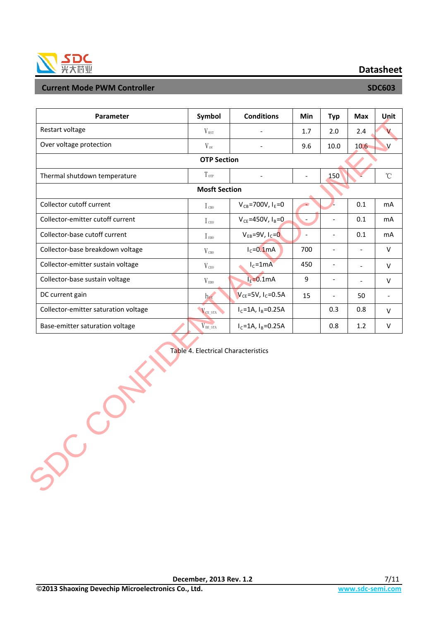

**Datasheet**

| Parameter                            | Symbol               | <b>Conditions</b>          | Min            | <b>Typ</b>               | <b>Max</b>               | Unit         |
|--------------------------------------|----------------------|----------------------------|----------------|--------------------------|--------------------------|--------------|
| Restart voltage                      | $V_{RST}$            |                            | 1.7            | 2.0                      | 2.4                      |              |
| Over voltage protection              | $V_{\rm ov}$         |                            | 9.6            | 10.0                     | 10.6                     | $\vee$       |
|                                      | <b>OTP Section</b>   |                            |                |                          |                          |              |
| Thermal shutdown temperature         | $T_{\text{0TP}}$     |                            |                | 150                      |                          | $^{\circ}$ C |
|                                      | <b>Mosft Section</b> |                            |                |                          |                          |              |
| Collector cutoff current             | $I_{CBO}$            | $V_{CB} = 700V, I_E = 0$   |                |                          | 0.1                      | mA           |
| Collector-emitter cutoff current     | $I_{\text{ceo}}$     | $V_{CF} = 450V, I_B = 0$   |                |                          | 0.1                      | mA           |
| Collector-base cutoff current        | I <sub>EB0</sub>     | $V_{EB} = 9V, I_C = 0$     | $\overline{a}$ |                          | 0.1                      | mA           |
| Collector-base breakdown voltage     | $V_{CB0}$            | $I_c = 0.1$ mA             | 700            | $\overline{\phantom{a}}$ | $\overline{\phantom{a}}$ | $\vee$       |
| Collector-emitter sustain voltage    | $V_{\text{CEO}}$     | $I_c = 1mA$                | 450            | $\overline{\phantom{a}}$ |                          | $\vee$       |
| Collector-base sustain voltage       | $V_{EBO}$            | $IE=0.1mA$                 | 9              | $\overline{\phantom{a}}$ |                          | $\vee$       |
| DC current gain                      | $h_{\text{FE}}$      | $V_{CE} = 5V, I_C = 0.5A$  | 15             |                          | 50                       |              |
| Collector-emitter saturation voltage | V <sub>CE_STA</sub>  | $I_c = 1A$ , $I_B = 0.25A$ |                | 0.3                      | 0.8                      | $\vee$       |
| Base-emitter saturation voltage      | $V_{BE\_STA}$        | $I_c = 1A$ , $I_B = 0.25A$ |                | 0.8                      | 1.2                      | V            |

Table 4. Electrical Characteristics SDC CONFIDENTIAL DE CONFIDENTIAL DE CONFIDENTIAL DE CONFIDENTIAL DE CONFIDENTIAL DE CONFIDENTIAL DE CONFIDENTIAL DE CONFIDENTIAL DE CONFIDENTIAL DE CONFIDENTIAL DE CONFIDENTIAL DE CONFID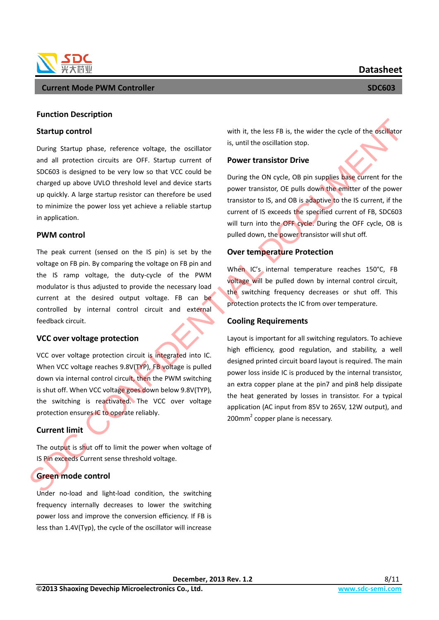





#### **Function Description**

#### **Startup control**

During Startup phase, reference voltage, the oscillator and all protection circuits are OFF. Startup current of SDC603 is designed to be very low so that VCC could be charged up above UVLO threshold level and device starts up quickly. A large startup resistor can therefore be used to minimize the power loss yet achieve a reliable startup in application.

### **PWM control**

The peak current (sensed on the IS pin) is set by the voltage on FB pin. By comparing the voltage on FB pin and the IS ramp voltage, the duty-cycle of the PWM modulator is thus adjusted to provide the necessary load current at the desired output voltage. FB can be controlled by internal control circuit and external feedback circuit.

#### **VCC over voltage protection**

VCC over voltage protection circuit is integrated into IC. When VCC voltage reaches 9.8V(TYP), FB voltage is pulled down via internal control circuit, then the PWM switching is shut off. When VCC voltage goes down below 9.8V(TYP), the switching is reactivated. The VCC over voltage protection ensures IC to operate reliably.

## **Current limit**

The output is shut off to limit the power when voltage of IS Pin exceeds Current sense threshold voltage.

## **Green mode control**

Under no-load and light-load condition, the switching frequency internally decreases to lower the switching power loss and improve the conversion efficiency. If FB is less than 1.4V(Typ), the cycle of the oscillator will increase with it, the less FB is, the wider the cycle of the oscillator is, until the oscillation stop.

### **Power transistor Drive**

During the ON cycle, OB pin supplies base current for the power transistor, OE pulls down the emitter of the power transistor to IS, and OB is adaptive to the IS current, if the current of IS exceeds the specified current of FB, SDC603 will turn into the OFF cycle. During the OFF cycle, OB is pulled down, the power transistor will shut off.

## **Over temperature Protection**

When IC's internal temperature reaches 150°C, FB voltage will be pulled down by internal control circuit, the switching frequency decreases or shut off. This protection protects the IC from over temperature.

## **Cooling Requirements**

Layout is important for all switching regulators. To achieve high efficiency, good regulation, and stability, a well designed printed circuit board layout is required. The main power loss inside IC is produced by the internal transistor, an extra copper plane at the pin7 and pin8 help dissipate the heat generated by losses in transistor. For a typical application (AC input from 85V to 265V, 12W output), and Startup control<br>
During Startup phase, reference voltage, the oscillator<br>
During Startup phase, reference voltage, the oscillator<br>
Sum til the oscillator of control of the startup correct of the Sum of the CONFIDENTIAL DO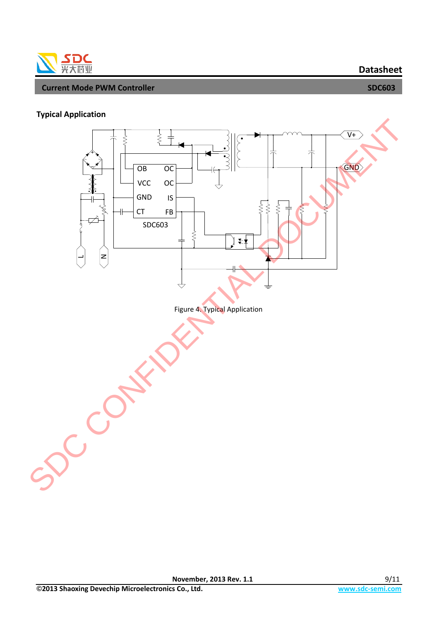

## **Typical Application**

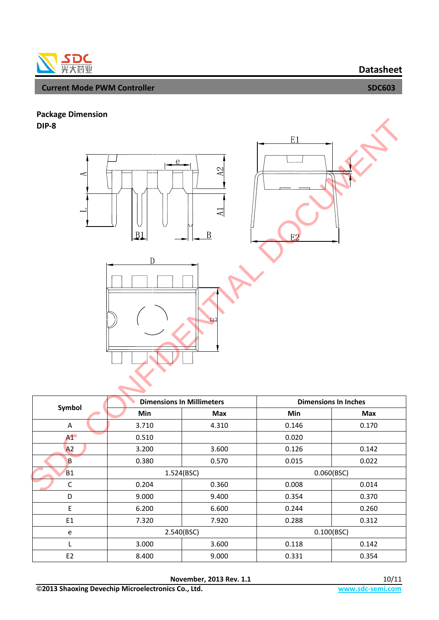

# **Package Dimension**

**DIP-8**



|                | <b>Dimensions In Millimeters</b> |            | <b>Dimensions In Inches</b> |            |  |
|----------------|----------------------------------|------------|-----------------------------|------------|--|
| Symbol         | <b>Min</b>                       | <b>Max</b> | <b>Min</b>                  | <b>Max</b> |  |
| Α              | 3.710                            | 4.310      | 0.146                       | 0.170      |  |
| A1             | 0.510                            |            | 0.020                       |            |  |
| A2             | 3.200                            | 3.600      | 0.126                       | 0.142      |  |
| B              | 0.380                            | 0.570      | 0.015                       | 0.022      |  |
| <b>B1</b>      | 1.524(BSC)                       |            | 0.060(BSC)                  |            |  |
| $\mathsf{C}$   | 0.204                            | 0.360      | 0.008                       | 0.014      |  |
| D              | 9.000                            | 9.400      | 0.354                       | 0.370      |  |
| E              | 6.200                            | 6.600      | 0.244                       | 0.260      |  |
| E1             | 7.320                            | 7.920      | 0.288                       | 0.312      |  |
| e              | 2.540(BSC)                       |            | 0.100(BSC)                  |            |  |
|                | 3.000                            | 3.600      | 0.118                       | 0.142      |  |
| E <sub>2</sub> | 8.400                            | 9.000      | 0.331                       | 0.354      |  |